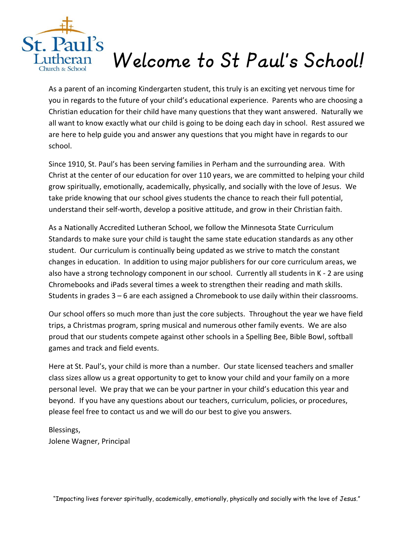

# *Welcome to St Paul's School!*

As a parent of an incoming Kindergarten student, this truly is an exciting yet nervous time for you in regards to the future of your child's educational experience. Parents who are choosing a Christian education for their child have many questions that they want answered. Naturally we all want to know exactly what our child is going to be doing each day in school. Rest assured we are here to help guide you and answer any questions that you might have in regards to our school.

Since 1910, St. Paul's has been serving families in Perham and the surrounding area. With Christ at the center of our education for over 110 years, we are committed to helping your child grow spiritually, emotionally, academically, physically, and socially with the love of Jesus. We take pride knowing that our school gives students the chance to reach their full potential, understand their self-worth, develop a positive attitude, and grow in their Christian faith.

As a Nationally Accredited Lutheran School, we follow the Minnesota State Curriculum Standards to make sure your child is taught the same state education standards as any other student. Our curriculum is continually being updated as we strive to match the constant changes in education. In addition to using major publishers for our core curriculum areas, we also have a strong technology component in our school. Currently all students in K - 2 are using Chromebooks and iPads several times a week to strengthen their reading and math skills. Students in grades 3 – 6 are each assigned a Chromebook to use daily within their classrooms.

Our school offers so much more than just the core subjects. Throughout the year we have field trips, a Christmas program, spring musical and numerous other family events. We are also proud that our students compete against other schools in a Spelling Bee, Bible Bowl, softball games and track and field events.

Here at St. Paul's, your child is more than a number. Our state licensed teachers and smaller class sizes allow us a great opportunity to get to know your child and your family on a more personal level. We pray that we can be your partner in your child's education this year and beyond. If you have any questions about our teachers, curriculum, policies, or procedures, please feel free to contact us and we will do our best to give you answers.

Blessings, Jolene Wagner, Principal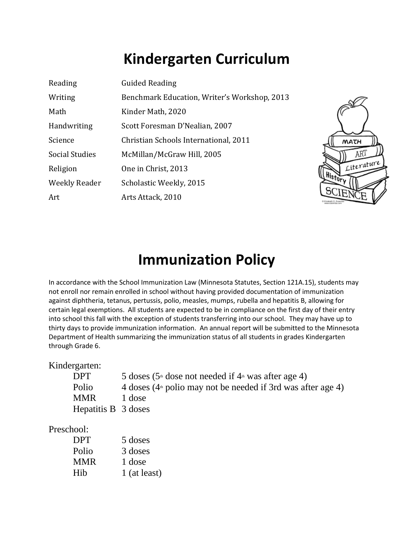## **Kindergarten Curriculum**

| Reading               | <b>Guided Reading</b>                        |  |
|-----------------------|----------------------------------------------|--|
| Writing               | Benchmark Education, Writer's Workshop, 2013 |  |
| Math                  | Kinder Math, 2020                            |  |
| Handwriting           | Scott Foresman D'Nealian, 2007               |  |
| Science               | Christian Schools International, 2011        |  |
| <b>Social Studies</b> | McMillan/McGraw Hill, 2005                   |  |
| Religion              | One in Christ, 2013                          |  |
| Weekly Reader         | Scholastic Weekly, 2015                      |  |
| Art                   | Arts Attack, 2010                            |  |



### **Immunization Policy**

In accordance with the School Immunization Law (Minnesota Statutes, Section 121A.15), students may not enroll nor remain enrolled in school without having provided documentation of immunization against diphtheria, tetanus, pertussis, polio, measles, mumps, rubella and hepatitis B, allowing for certain legal exemptions. All students are expected to be in compliance on the first day of their entry into school this fall with the exception of students transferring into our school. They may have up to thirty days to provide immunization information. An annual report will be submitted to the Minnesota Department of Health summarizing the immunization status of all students in grades Kindergarten through Grade 6.

Kindergarten:

| <b>DPT</b>          | 5 doses ( $5^{\text{th}}$ dose not needed if $4^{\text{th}}$ was after age 4) |
|---------------------|-------------------------------------------------------------------------------|
| Polio               | 4 doses $(4th$ polio may not be needed if 3rd was after age 4)                |
| <b>MMR</b>          | 1 dose                                                                        |
| Hepatitis B 3 doses |                                                                               |

#### Preschool:

| <b>DPT</b> | 5 doses      |
|------------|--------------|
| Polio      | 3 doses      |
| <b>MMR</b> | 1 dose       |
| Hib        | 1 (at least) |